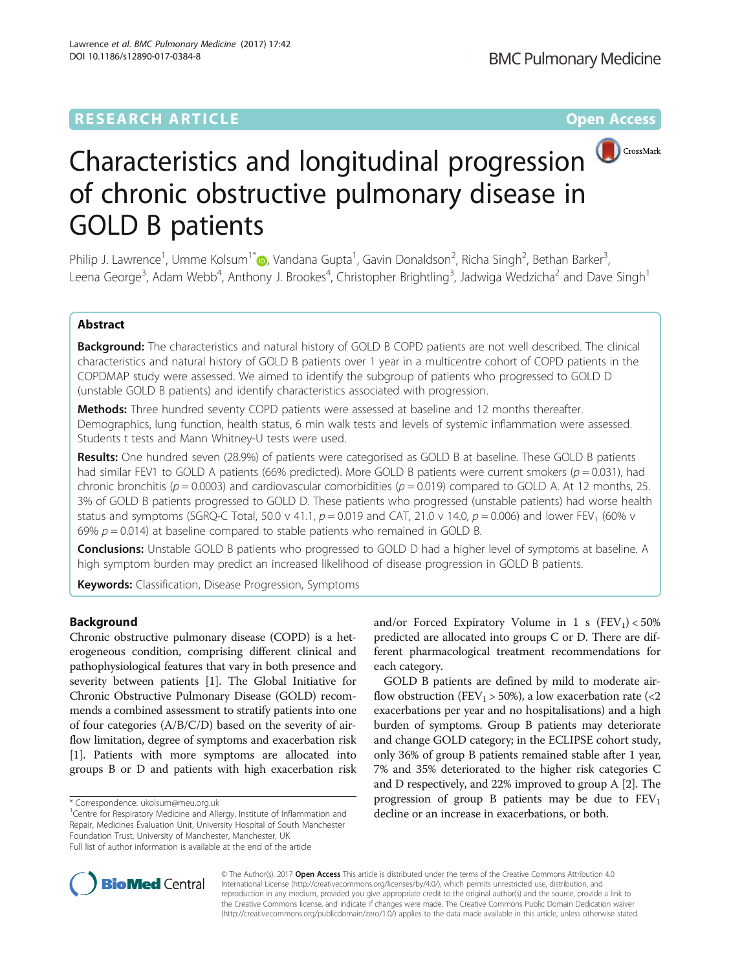## **RESEARCH ARTICLE Example 2014 12:30 The Contract of Contract ACCESS**



# Characteristics and longitudinal progression **OCCONG AND C**CrossMark of chronic obstructive pulmonary disease in GOLD B patients

Philip J. Lawrence<sup>1</sup>[,](http://orcid.org/0000-0003-3993-7848) Umme Kolsum<sup>1\*</sup>®, Vandana Gupta<sup>1</sup>, Gavin Donaldson<sup>2</sup>, Richa Singh<sup>2</sup>, Bethan Barker<sup>3</sup> , Leena George<sup>3</sup>, Adam Webb<sup>4</sup>, Anthony J. Brookes<sup>4</sup>, Christopher Brightling<sup>3</sup>, Jadwiga Wedzicha<sup>2</sup> and Dave Singh<sup>1</sup>

## Abstract

Background: The characteristics and natural history of GOLD B COPD patients are not well described. The clinical characteristics and natural history of GOLD B patients over 1 year in a multicentre cohort of COPD patients in the COPDMAP study were assessed. We aimed to identify the subgroup of patients who progressed to GOLD D (unstable GOLD B patients) and identify characteristics associated with progression.

**Methods:** Three hundred seventy COPD patients were assessed at baseline and 12 months thereafter. Demographics, lung function, health status, 6 min walk tests and levels of systemic inflammation were assessed. Students t tests and Mann Whitney-U tests were used.

Results: One hundred seven (28.9%) of patients were categorised as GOLD B at baseline. These GOLD B patients had similar FEV1 to GOLD A patients (66% predicted). More GOLD B patients were current smokers ( $p = 0.031$ ), had chronic bronchitis ( $p = 0.0003$ ) and cardiovascular comorbidities ( $p = 0.019$ ) compared to GOLD A. At 12 months, 25. 3% of GOLD B patients progressed to GOLD D. These patients who progressed (unstable patients) had worse health status and symptoms (SGRQ-C Total, 50.0 v 41.1,  $p = 0.019$  and CAT, 21.0 v 14.0,  $p = 0.006$ ) and lower FEV<sub>1</sub> (60% v 69%  $p = 0.014$ ) at baseline compared to stable patients who remained in GOLD B.

**Conclusions:** Unstable GOLD B patients who progressed to GOLD D had a higher level of symptoms at baseline. A high symptom burden may predict an increased likelihood of disease progression in GOLD B patients.

**Keywords:** Classification, Disease Progression, Symptoms

## Background

Chronic obstructive pulmonary disease (COPD) is a heterogeneous condition, comprising different clinical and pathophysiological features that vary in both presence and severity between patients [[1](#page-7-0)]. The Global Initiative for Chronic Obstructive Pulmonary Disease (GOLD) recommends a combined assessment to stratify patients into one of four categories (A/B/C/D) based on the severity of airflow limitation, degree of symptoms and exacerbation risk [[1\]](#page-7-0). Patients with more symptoms are allocated into groups B or D and patients with high exacerbation risk



GOLD B patients are defined by mild to moderate airflow obstruction (FEV<sub>1</sub> > 50%), a low exacerbation rate (<2 exacerbations per year and no hospitalisations) and a high burden of symptoms. Group B patients may deteriorate and change GOLD category; in the ECLIPSE cohort study, only 36% of group B patients remained stable after 1 year, 7% and 35% deteriorated to the higher risk categories C and D respectively, and 22% improved to group A [\[2\]](#page-7-0). The progression of group B patients may be due to  $FEV<sub>1</sub>$ decline or an increase in exacerbations, or both.



© The Author(s). 2017 **Open Access** This article is distributed under the terms of the Creative Commons Attribution 4.0 International License [\(http://creativecommons.org/licenses/by/4.0/](http://creativecommons.org/licenses/by/4.0/)), which permits unrestricted use, distribution, and reproduction in any medium, provided you give appropriate credit to the original author(s) and the source, provide a link to the Creative Commons license, and indicate if changes were made. The Creative Commons Public Domain Dedication waiver [\(http://creativecommons.org/publicdomain/zero/1.0/](http://creativecommons.org/publicdomain/zero/1.0/)) applies to the data made available in this article, unless otherwise stated.

<sup>\*</sup> Correspondence: [ukolsum@meu.org.uk](mailto:ukolsum@meu.org.uk) <sup>1</sup>

<sup>&</sup>lt;sup>1</sup> Centre for Respiratory Medicine and Allergy, Institute of Inflammation and Repair, Medicines Evaluation Unit, University Hospital of South Manchester Foundation Trust, University of Manchester, Manchester, UK

Full list of author information is available at the end of the article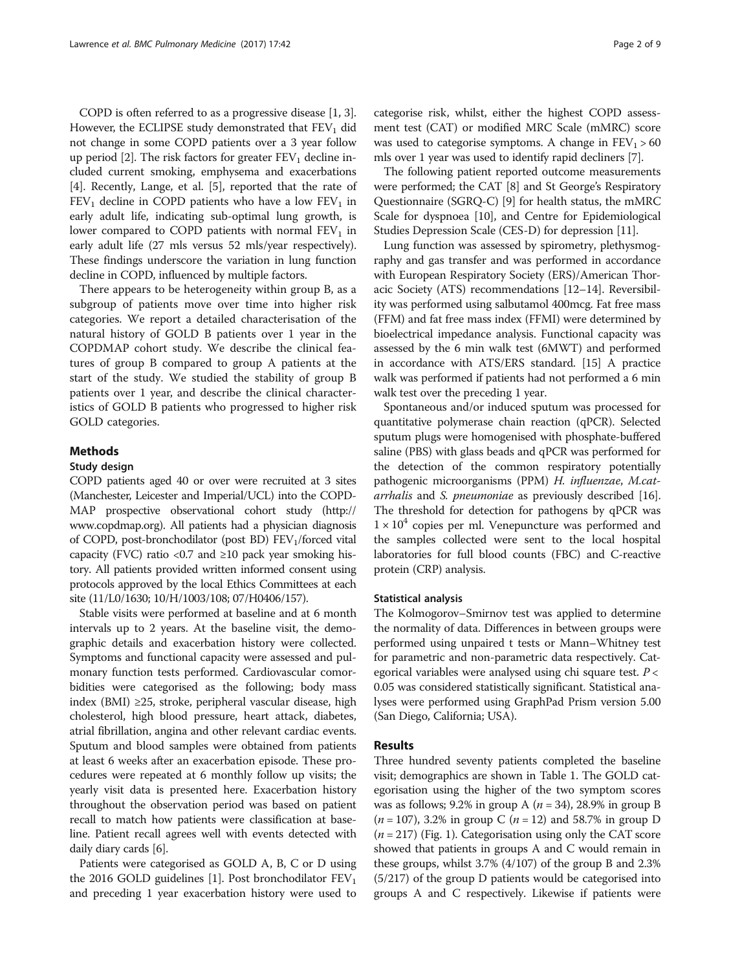COPD is often referred to as a progressive disease [[1, 3](#page-7-0)]. However, the ECLIPSE study demonstrated that  $FEV<sub>1</sub>$  did not change in some COPD patients over a 3 year follow up period [\[2](#page-7-0)]. The risk factors for greater  $FEV_1$  decline included current smoking, emphysema and exacerbations [[4\]](#page-7-0). Recently, Lange, et al. [\[5](#page-8-0)], reported that the rate of  $FEV<sub>1</sub>$  decline in COPD patients who have a low  $FEV<sub>1</sub>$  in early adult life, indicating sub-optimal lung growth, is lower compared to COPD patients with normal  $FEV<sub>1</sub>$  in early adult life (27 mls versus 52 mls/year respectively). These findings underscore the variation in lung function decline in COPD, influenced by multiple factors.

There appears to be heterogeneity within group B, as a subgroup of patients move over time into higher risk categories. We report a detailed characterisation of the natural history of GOLD B patients over 1 year in the COPDMAP cohort study. We describe the clinical features of group B compared to group A patients at the start of the study. We studied the stability of group B patients over 1 year, and describe the clinical characteristics of GOLD B patients who progressed to higher risk GOLD categories.

## Methods

## Study design

COPD patients aged 40 or over were recruited at 3 sites (Manchester, Leicester and Imperial/UCL) into the COPD-MAP prospective observational cohort study [\(http://](http://www.copdmap.org/) [www.copdmap.org\)](http://www.copdmap.org/). All patients had a physician diagnosis of COPD, post-bronchodilator (post BD) FEV<sub>1</sub>/forced vital capacity (FVC) ratio <0.7 and ≥10 pack year smoking history. All patients provided written informed consent using protocols approved by the local Ethics Committees at each site (11/L0/1630; 10/H/1003/108; 07/H0406/157).

Stable visits were performed at baseline and at 6 month intervals up to 2 years. At the baseline visit, the demographic details and exacerbation history were collected. Symptoms and functional capacity were assessed and pulmonary function tests performed. Cardiovascular comorbidities were categorised as the following; body mass index (BMI) ≥25, stroke, peripheral vascular disease, high cholesterol, high blood pressure, heart attack, diabetes, atrial fibrillation, angina and other relevant cardiac events. Sputum and blood samples were obtained from patients at least 6 weeks after an exacerbation episode. These procedures were repeated at 6 monthly follow up visits; the yearly visit data is presented here. Exacerbation history throughout the observation period was based on patient recall to match how patients were classification at baseline. Patient recall agrees well with events detected with daily diary cards [\[6](#page-8-0)].

Patients were categorised as GOLD A, B, C or D using the 2016 GOLD guidelines [[1\]](#page-7-0). Post bronchodilator  $FEV<sub>1</sub>$ and preceding 1 year exacerbation history were used to categorise risk, whilst, either the highest COPD assessment test (CAT) or modified MRC Scale (mMRC) score was used to categorise symptoms. A change in  $FEV<sub>1</sub> > 60$ mls over 1 year was used to identify rapid decliners [[7](#page-8-0)].

The following patient reported outcome measurements were performed; the CAT [[8](#page-8-0)] and St George's Respiratory Questionnaire (SGRQ-C) [\[9](#page-8-0)] for health status, the mMRC Scale for dyspnoea [[10](#page-8-0)], and Centre for Epidemiological Studies Depression Scale (CES-D) for depression [[11](#page-8-0)].

Lung function was assessed by spirometry, plethysmography and gas transfer and was performed in accordance with European Respiratory Society (ERS)/American Thoracic Society (ATS) recommendations [\[12](#page-8-0)–[14](#page-8-0)]. Reversibility was performed using salbutamol 400mcg. Fat free mass (FFM) and fat free mass index (FFMI) were determined by bioelectrical impedance analysis. Functional capacity was assessed by the 6 min walk test (6MWT) and performed in accordance with ATS/ERS standard. [\[15\]](#page-8-0) A practice walk was performed if patients had not performed a 6 min walk test over the preceding 1 year.

Spontaneous and/or induced sputum was processed for quantitative polymerase chain reaction (qPCR). Selected sputum plugs were homogenised with phosphate-buffered saline (PBS) with glass beads and qPCR was performed for the detection of the common respiratory potentially pathogenic microorganisms (PPM) H. influenzae, M.catarrhalis and S. pneumoniae as previously described [[16](#page-8-0)]. The threshold for detection for pathogens by qPCR was  $1 \times 10^4$  copies per ml. Venepuncture was performed and the samples collected were sent to the local hospital laboratories for full blood counts (FBC) and C-reactive protein (CRP) analysis.

#### Statistical analysis

The Kolmogorov–Smirnov test was applied to determine the normality of data. Differences in between groups were performed using unpaired t tests or Mann–Whitney test for parametric and non-parametric data respectively. Categorical variables were analysed using chi square test.  $P \leq$ 0.05 was considered statistically significant. Statistical analyses were performed using GraphPad Prism version 5.00 (San Diego, California; USA).

### Results

Three hundred seventy patients completed the baseline visit; demographics are shown in Table [1](#page-2-0). The GOLD categorisation using the higher of the two symptom scores was as follows; 9.2% in group A ( $n = 34$ ), 28.9% in group B  $(n = 107)$ , 3.2% in group C  $(n = 12)$  and 58.7% in group D  $(n = 217)$  (Fig. [1\)](#page-2-0). Categorisation using only the CAT score showed that patients in groups A and C would remain in these groups, whilst 3.7% (4/107) of the group B and 2.3% (5/217) of the group D patients would be categorised into groups A and C respectively. Likewise if patients were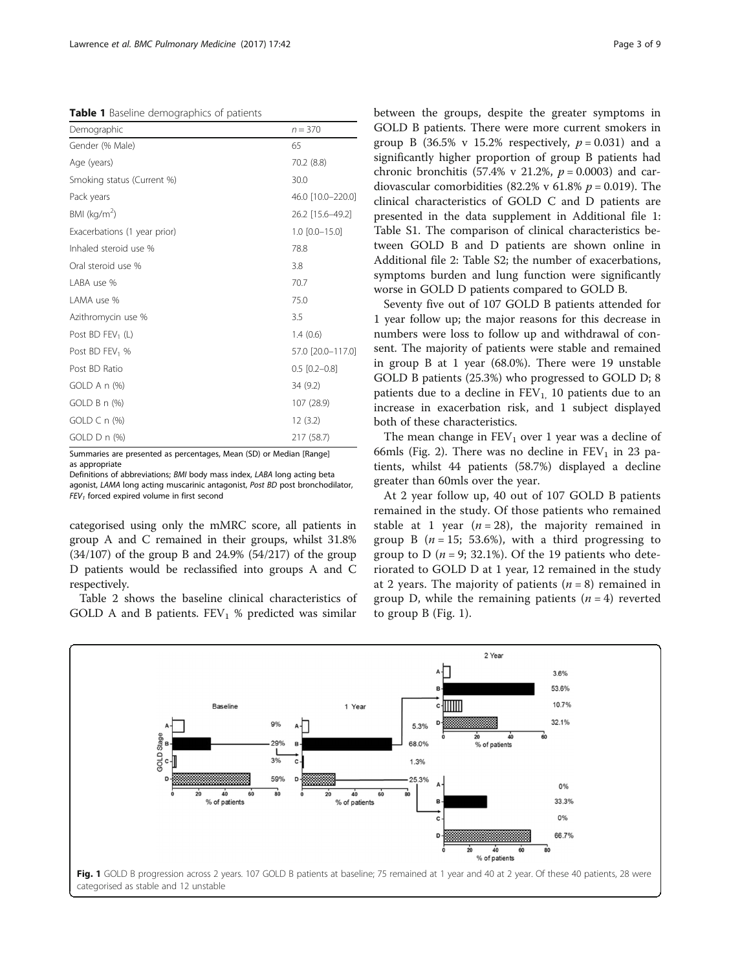<span id="page-2-0"></span>Table 1 Baseline demographics of patients

| Demographic                  | $n = 370$            |
|------------------------------|----------------------|
| Gender (% Male)              | 65                   |
| Age (years)                  | 70.2 (8.8)           |
| Smoking status (Current %)   | 30.0                 |
| Pack years                   | 46.0 [10.0-220.0]    |
| BMI ( $kg/m2$ )              | 26.2 [15.6-49.2]     |
| Exacerbations (1 year prior) | $1.0$ $[0.0 - 15.0]$ |
| Inhaled steroid use %        | 78.8                 |
| Oral steroid use %           | 3.8                  |
| LABA use %                   | 70.7                 |
| LAMA use %                   | 75.0                 |
| Azithromycin use %           | 3.5                  |
| Post BD FEV <sub>1</sub> (L) | 1.4(0.6)             |
| Post BD FEV <sub>1</sub> %   | 57.0 [20.0-117.0]    |
| Post BD Ratio                | $0.5$ [0.2-0.8]      |
| GOLD A n (%)                 | 34 (9.2)             |
| $GOLD B n (\%)$              | 107 (28.9)           |
| GOLD C n (%)                 | 12(3.2)              |
| GOLD D n (%)                 | 217 (58.7)           |

Summaries are presented as percentages, Mean (SD) or Median [Range] as appropriate

Definitions of abbreviations; BMI body mass index, LABA long acting beta agonist, LAMA long acting muscarinic antagonist, Post BD post bronchodilator, FEV<sub>1</sub> forced expired volume in first second

categorised using only the mMRC score, all patients in group A and C remained in their groups, whilst 31.8% (34/107) of the group B and 24.9% (54/217) of the group D patients would be reclassified into groups A and C respectively.

Table [2](#page-3-0) shows the baseline clinical characteristics of GOLD A and B patients.  $FEV<sub>1</sub>$  % predicted was similar between the groups, despite the greater symptoms in GOLD B patients. There were more current smokers in group B (36.5% v 15.2% respectively,  $p = 0.031$ ) and a significantly higher proportion of group B patients had chronic bronchitis (57.4% v 21.2%,  $p = 0.0003$ ) and cardiovascular comorbidities (82.2% v 61.8%  $p = 0.019$ ). The clinical characteristics of GOLD C and D patients are presented in the data supplement in Additional file [1](#page-7-0): Table S1. The comparison of clinical characteristics between GOLD B and D patients are shown online in Additional file [2:](#page-7-0) Table S2; the number of exacerbations, symptoms burden and lung function were significantly worse in GOLD D patients compared to GOLD B.

Seventy five out of 107 GOLD B patients attended for 1 year follow up; the major reasons for this decrease in numbers were loss to follow up and withdrawal of consent. The majority of patients were stable and remained in group B at 1 year (68.0%). There were 19 unstable GOLD B patients (25.3%) who progressed to GOLD D; 8 patients due to a decline in  $FEV<sub>1</sub>$  10 patients due to an increase in exacerbation risk, and 1 subject displayed both of these characteristics.

The mean change in  $FEV<sub>1</sub>$  over 1 year was a decline of 66mls (Fig. [2](#page-4-0)). There was no decline in  $FEV<sub>1</sub>$  in 23 patients, whilst 44 patients (58.7%) displayed a decline greater than 60mls over the year.

At 2 year follow up, 40 out of 107 GOLD B patients remained in the study. Of those patients who remained stable at 1 year  $(n = 28)$ , the majority remained in group B  $(n = 15; 53.6\%)$ , with a third progressing to group to D ( $n = 9$ ; 32.1%). Of the 19 patients who deteriorated to GOLD D at 1 year, 12 remained in the study at 2 years. The majority of patients  $(n = 8)$  remained in group D, while the remaining patients  $(n = 4)$  reverted to group B (Fig. 1).

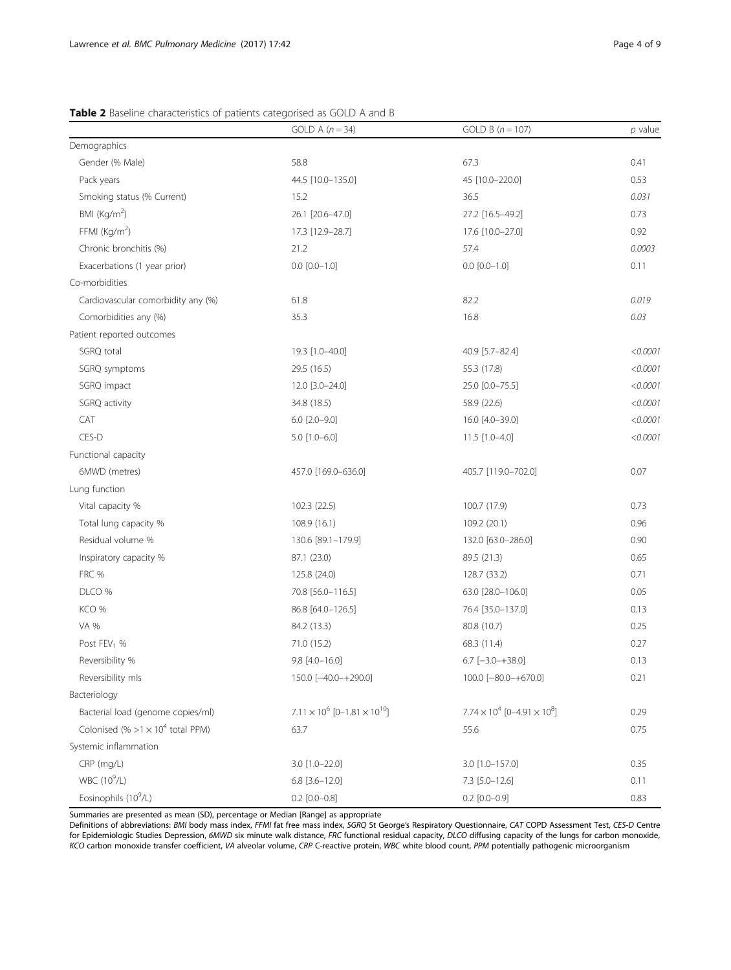## <span id="page-3-0"></span>Table 2 Baseline characteristics of patients categorised as GOLD A and B

|                                          | GOLD A $(n=34)$                               | $GOLD B (n = 107)$                         | $p$ value |
|------------------------------------------|-----------------------------------------------|--------------------------------------------|-----------|
| Demographics                             |                                               |                                            |           |
| Gender (% Male)                          | 58.8                                          | 67.3                                       | 0.41      |
| Pack years                               | 44.5 [10.0-135.0]                             | 45 [10.0-220.0]                            | 0.53      |
| Smoking status (% Current)               | 15.2                                          | 36.5                                       | 0.031     |
| BMI (Kg/m <sup>2</sup> )                 | 26.1 [20.6-47.0]                              | 27.2 [16.5-49.2]                           | 0.73      |
| FFMI (Kg/m <sup>2</sup> )                | 17.3 [12.9-28.7]                              | 17.6 [10.0-27.0]                           | 0.92      |
| Chronic bronchitis (%)                   | 21.2                                          | 57.4                                       | 0.0003    |
| Exacerbations (1 year prior)             | $0.0$ $[0.0-1.0]$                             | $0.0$ $[0.0-1.0]$                          | 0.11      |
| Co-morbidities                           |                                               |                                            |           |
| Cardiovascular comorbidity any (%)       | 61.8                                          | 82.2                                       | 0.019     |
| Comorbidities any (%)                    | 35.3                                          | 16.8                                       | 0.03      |
| Patient reported outcomes                |                                               |                                            |           |
| SGRQ total                               | 19.3 [1.0-40.0]                               | 40.9 [5.7-82.4]                            | < 0.0001  |
| SGRQ symptoms                            | 29.5 (16.5)                                   | 55.3 (17.8)                                | < 0.0001  |
| SGRQ impact                              | 12.0 [3.0-24.0]                               | 25.0 [0.0-75.5]                            | < 0.0001  |
| SGRQ activity                            | 34.8 (18.5)                                   | 58.9 (22.6)                                | < 0.0001  |
| CAT                                      | $6.0$ $[2.0 - 9.0]$                           | 16.0 [4.0-39.0]                            | < 0.0001  |
| CES-D                                    | $5.0$ $[1.0 - 6.0]$                           | 11.5 [1.0-4.0]                             | < 0.0001  |
| Functional capacity                      |                                               |                                            |           |
| 6MWD (metres)                            | 457.0 [169.0-636.0]                           | 405.7 [119.0-702.0]                        | 0.07      |
| Lung function                            |                                               |                                            |           |
| Vital capacity %                         | 102.3 (22.5)                                  | 100.7 (17.9)                               | 0.73      |
| Total lung capacity %                    | 108.9 (16.1)                                  | 109.2 (20.1)                               | 0.96      |
| Residual volume %                        | 130.6 [89.1-179.9]                            | 132.0 [63.0-286.0]                         | 0.90      |
| Inspiratory capacity %                   | 87.1 (23.0)                                   | 89.5 (21.3)                                | 0.65      |
| FRC %                                    | 125.8 (24.0)                                  | 128.7 (33.2)                               | 0.71      |
| DLCO %                                   | 70.8 [56.0-116.5]                             | 63.0 [28.0-106.0]                          | 0.05      |
| KCO %                                    | 86.8 [64.0-126.5]                             | 76.4 [35.0-137.0]                          | 0.13      |
| VA %                                     | 84.2 (13.3)                                   | 80.8 (10.7)                                | 0.25      |
| Post $FEV1$ %                            | 71.0 (15.2)                                   | 68.3 (11.4)                                | 0.27      |
| Reversibility %                          | $9.8$ [4.0-16.0]                              | $6.7$ [-3.0-+38.0]                         | 0.13      |
| Reversibility mls                        | 150.0 [-40.0-+290.0]                          | 100.0 [-80.0-+670.0]                       | 0.21      |
| Bacteriology                             |                                               |                                            |           |
| Bacterial load (genome copies/ml)        | $7.11 \times 10^6$ [0-1.81 $\times 10^{10}$ ] | $7.74 \times 10^4$ [0-4.91 $\times 10^8$ ] | 0.29      |
| Colonised (% $>1 \times 10^4$ total PPM) | 63.7                                          | 55.6                                       | 0.75      |
| Systemic inflammation                    |                                               |                                            |           |
| CRP (mg/L)                               | 3.0 [1.0-22.0]                                | 3.0 [1.0-157.0]                            | 0.35      |
| WBC (10 <sup>9</sup> /L)                 | $6.8$ [3.6-12.0]                              | 7.3 [5.0-12.6]                             | 0.11      |
| Eosinophils (10 <sup>9</sup> /L)         | $0.2$ [0.0-0.8]                               | $0.2$ [0.0-0.9]                            | 0.83      |

Summaries are presented as mean (SD), percentage or Median [Range] as appropriate

Definitions of abbreviations: BMI body mass index, FFMI fat free mass index, SGRQ St George's Respiratory Questionnaire, CAT COPD Assessment Test, CES-D Centre for Epidemiologic Studies Depression, 6MWD six minute walk distance, FRC functional residual capacity, DLCO diffusing capacity of the lungs for carbon monoxide, KCO carbon monoxide transfer coefficient, VA alveolar volume, CRP C-reactive protein, WBC white blood count, PPM potentially pathogenic microorganism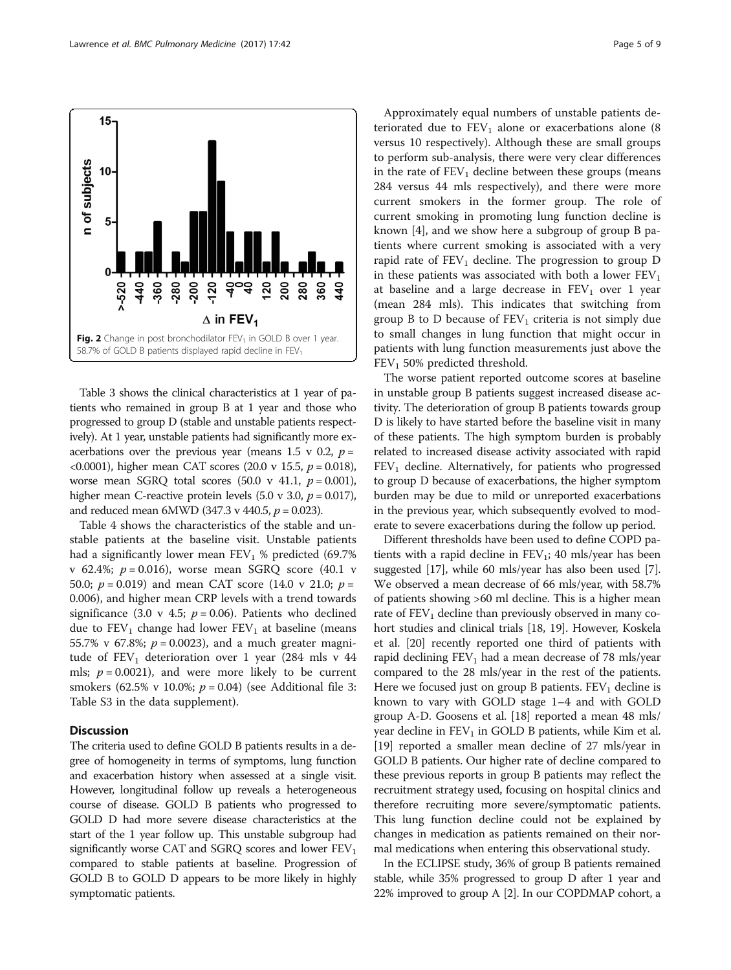<span id="page-4-0"></span>

Table [3](#page-5-0) shows the clinical characteristics at 1 year of patients who remained in group B at 1 year and those who progressed to group D (stable and unstable patients respectively). At 1 year, unstable patients had significantly more exacerbations over the previous year (means 1.5 v 0.2,  $p =$ <0.0001), higher mean CAT scores (20.0 v 15.5, p = 0.018), worse mean SGRQ total scores (50.0 v 41.1,  $p = 0.001$ ), higher mean C-reactive protein levels  $(5.0 \text{ v } 3.0, p = 0.017)$ , and reduced mean 6MWD (347.3 v 440.5,  $p = 0.023$ ).

Table [4](#page-6-0) shows the characteristics of the stable and unstable patients at the baseline visit. Unstable patients had a significantly lower mean  $FEV<sub>1</sub>$  % predicted (69.7% v 62.4%; p = 0.016), worse mean SGRQ score (40.1 v 50.0;  $p = 0.019$ ) and mean CAT score (14.0 v 21.0;  $p =$ 0.006), and higher mean CRP levels with a trend towards significance (3.0 v 4.5;  $p = 0.06$ ). Patients who declined due to  $FEV_1$  change had lower  $FEV_1$  at baseline (means 55.7% v 67.8%;  $p = 0.0023$ ), and a much greater magnitude of  $FEV<sub>1</sub>$  deterioration over 1 year (284 mls v 44 mls;  $p = 0.0021$ ), and were more likely to be current smokers (62.5% v 10.0%;  $p = 0.04$ ) (see Additional file [3](#page-7-0): Table S3 in the data supplement).

## **Discussion**

The criteria used to define GOLD B patients results in a degree of homogeneity in terms of symptoms, lung function and exacerbation history when assessed at a single visit. However, longitudinal follow up reveals a heterogeneous course of disease. GOLD B patients who progressed to GOLD D had more severe disease characteristics at the start of the 1 year follow up. This unstable subgroup had significantly worse CAT and SGRQ scores and lower  $FEV<sub>1</sub>$ compared to stable patients at baseline. Progression of GOLD B to GOLD D appears to be more likely in highly symptomatic patients.

Approximately equal numbers of unstable patients deteriorated due to  $FEV<sub>1</sub>$  alone or exacerbations alone (8) versus 10 respectively). Although these are small groups to perform sub-analysis, there were very clear differences in the rate of  $FEV<sub>1</sub>$  decline between these groups (means 284 versus 44 mls respectively), and there were more current smokers in the former group. The role of current smoking in promoting lung function decline is known [[4\]](#page-7-0), and we show here a subgroup of group B patients where current smoking is associated with a very rapid rate of  $FEV<sub>1</sub>$  decline. The progression to group D in these patients was associated with both a lower  $FEV<sub>1</sub>$ at baseline and a large decrease in  $FEV<sub>1</sub>$  over 1 year (mean 284 mls). This indicates that switching from group B to D because of  $FEV<sub>1</sub>$  criteria is not simply due to small changes in lung function that might occur in patients with lung function measurements just above the  $FEV<sub>1</sub>$  50% predicted threshold.

The worse patient reported outcome scores at baseline in unstable group B patients suggest increased disease activity. The deterioration of group B patients towards group D is likely to have started before the baseline visit in many of these patients. The high symptom burden is probably related to increased disease activity associated with rapid  $FEV<sub>1</sub>$  decline. Alternatively, for patients who progressed to group D because of exacerbations, the higher symptom burden may be due to mild or unreported exacerbations in the previous year, which subsequently evolved to moderate to severe exacerbations during the follow up period.

Different thresholds have been used to define COPD patients with a rapid decline in  $FEV<sub>1</sub>$ ; 40 mls/year has been suggested [\[17\]](#page-8-0), while 60 mls/year has also been used [[7](#page-8-0)]. We observed a mean decrease of 66 mls/year, with 58.7% of patients showing >60 ml decline. This is a higher mean rate of  $FEV<sub>1</sub>$  decline than previously observed in many cohort studies and clinical trials [[18](#page-8-0), [19\]](#page-8-0). However, Koskela et al. [\[20\]](#page-8-0) recently reported one third of patients with rapid declining  $FEV<sub>1</sub>$  had a mean decrease of 78 mls/year compared to the 28 mls/year in the rest of the patients. Here we focused just on group B patients.  $FEV<sub>1</sub>$  decline is known to vary with GOLD stage 1–4 and with GOLD group A-D. Goosens et al. [[18](#page-8-0)] reported a mean 48 mls/ year decline in  $FEV<sub>1</sub>$  in GOLD B patients, while Kim et al. [[19](#page-8-0)] reported a smaller mean decline of 27 mls/year in GOLD B patients. Our higher rate of decline compared to these previous reports in group B patients may reflect the recruitment strategy used, focusing on hospital clinics and therefore recruiting more severe/symptomatic patients. This lung function decline could not be explained by changes in medication as patients remained on their normal medications when entering this observational study.

In the ECLIPSE study, 36% of group B patients remained stable, while 35% progressed to group D after 1 year and 22% improved to group A [\[2](#page-7-0)]. In our COPDMAP cohort, a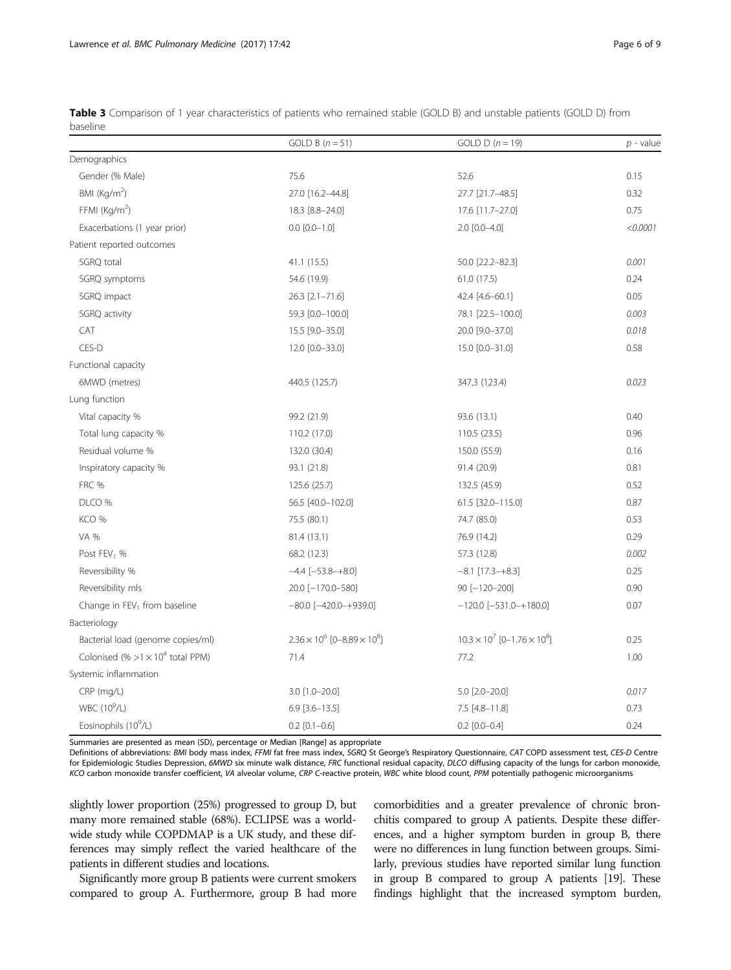|                                          | GOLD B $(n = 51)$                          | GOLD D $(n = 19)$                                     | $p$ - value |
|------------------------------------------|--------------------------------------------|-------------------------------------------------------|-------------|
| Demographics                             |                                            |                                                       |             |
| Gender (% Male)                          | 75.6                                       | 52.6                                                  | 0.15        |
| BMI $(Kq/m2)$                            | 27.0 [16.2-44.8]                           | 27.7 [21.7-48.5]                                      | 0.32        |
| FFMI $(Kg/m2)$                           | 18.3 [8.8-24.0]                            | 17.6 [11.7-27.0]                                      | 0.75        |
| Exacerbations (1 year prior)             | $0.0$ $[0.0 - 1.0]$                        | $2.0$ $[0.0 - 4.0]$                                   | < 0.0001    |
| Patient reported outcomes                |                                            |                                                       |             |
| SGRQ total                               | 41.1 (15.5)                                | 50.0 [22.2-82.3]                                      | 0.001       |
| SGRQ symptoms                            | 54.6 (19.9)                                | 61.0 (17.5)                                           | 0.24        |
| SGRQ impact                              | 26.3 [2.1-71.6]                            | 42.4 [4.6-60.1]                                       | 0.05        |
| SGRQ activity                            | 59.3 [0.0-100.0]                           | 78.1 [22.5-100.0]                                     | 0.003       |
| CAT                                      | 15.5 [9.0-35.0]                            | 20.0 [9.0-37.0]                                       | 0.018       |
| CES-D                                    | 12.0 [0.0-33.0]                            | 15.0 [0.0-31.0]                                       | 0.58        |
| Functional capacity                      |                                            |                                                       |             |
| 6MWD (metres)                            | 440.5 (125.7)                              | 347.3 (123.4)                                         | 0.023       |
| Lung function                            |                                            |                                                       |             |
| Vital capacity %                         | 99.2 (21.9)                                | 93.6 (13.1)                                           | 0.40        |
| Total lung capacity %                    | 110.2 (17.0)                               | 110.5(23.5)                                           | 0.96        |
| Residual volume %                        | 132.0 (30.4)                               | 150.0 (55.9)                                          | 0.16        |
| Inspiratory capacity %                   | 93.1 (21.8)                                | 91.4 (20.9)                                           | 0.81        |
| FRC %                                    | 125.6 (25.7)                               | 132.5 (45.9)                                          | 0.52        |
| DLCO %                                   | 56.5 [40.0-102.0]                          | 61.5 [32.0-115.0]                                     | 0.87        |
| KCO %                                    | 75.5 (80.1)                                | 74.7 (85.0)                                           | 0.53        |
| <b>VA %</b>                              | 81.4 (13.1)                                | 76.9 (14.2)                                           | 0.29        |
| Post FEV <sub>1</sub> %                  | 68.2 (12.3)                                | 57.3 (12.8)                                           | 0.002       |
| Reversibility %                          | $-4.4[-53.8 - +8.0]$                       | $-8.1$ [17.3 $-+8.3$ ]                                | 0.25        |
| Reversibility mls                        | 20.0 [-170.0-580]                          | $90$ [-120-200]                                       | 0.90        |
| Change in FEV <sub>1</sub> from baseline | $-80.0$ [ $-420.0$ -+939.0]                | $-120.0$ [ $-531.0$ $-+180.0$ ]                       | 0.07        |
| Bacteriology                             |                                            |                                                       |             |
| Bacterial load (genome copies/ml)        | $2.36 \times 10^6$ [0-8.89 $\times 10^8$ ] | $10.3 \times 10^7$ [0-1.76 $\times$ 10 <sup>8</sup> ] | 0.25        |
| Colonised (% $>1 \times 10^4$ total PPM) | 71.4                                       | 77.2                                                  | 1.00        |
| Systemic inflammation                    |                                            |                                                       |             |
| CRP (mg/L)                               | 3.0 [1.0-20.0]                             | 5.0 [2.0-20.0]                                        | 0.017       |
| WBC (10 <sup>9</sup> /L)                 | $6.9$ [3.6-13.5]                           | 7.5 [4.8-11.8]                                        | 0.73        |
| Eosinophils (10 <sup>9</sup> /L)         | $0.2$ [0.1-0.6]                            | $0.2$ [0.0-0.4]                                       | 0.24        |

<span id="page-5-0"></span>Table 3 Comparison of 1 year characteristics of patients who remained stable (GOLD B) and unstable patients (GOLD D) from baseline

Summaries are presented as mean (SD), percentage or Median [Range] as appropriate

Definitions of abbreviations: BMI body mass index, FFMI fat free mass index, SGRQ St George's Respiratory Questionnaire, CAT COPD assessment test, CES-D Centre for Epidemiologic Studies Depression, 6MWD six minute walk distance, FRC functional residual capacity, DLCO diffusing capacity of the lungs for carbon monoxide, KCO carbon monoxide transfer coefficient, VA alveolar volume, CRP C-reactive protein, WBC white blood count, PPM potentially pathogenic microorganisms

slightly lower proportion (25%) progressed to group D, but many more remained stable (68%). ECLIPSE was a worldwide study while COPDMAP is a UK study, and these differences may simply reflect the varied healthcare of the patients in different studies and locations.

Significantly more group B patients were current smokers compared to group A. Furthermore, group B had more comorbidities and a greater prevalence of chronic bronchitis compared to group A patients. Despite these differences, and a higher symptom burden in group B, there were no differences in lung function between groups. Similarly, previous studies have reported similar lung function in group B compared to group A patients [\[19\]](#page-8-0). These findings highlight that the increased symptom burden,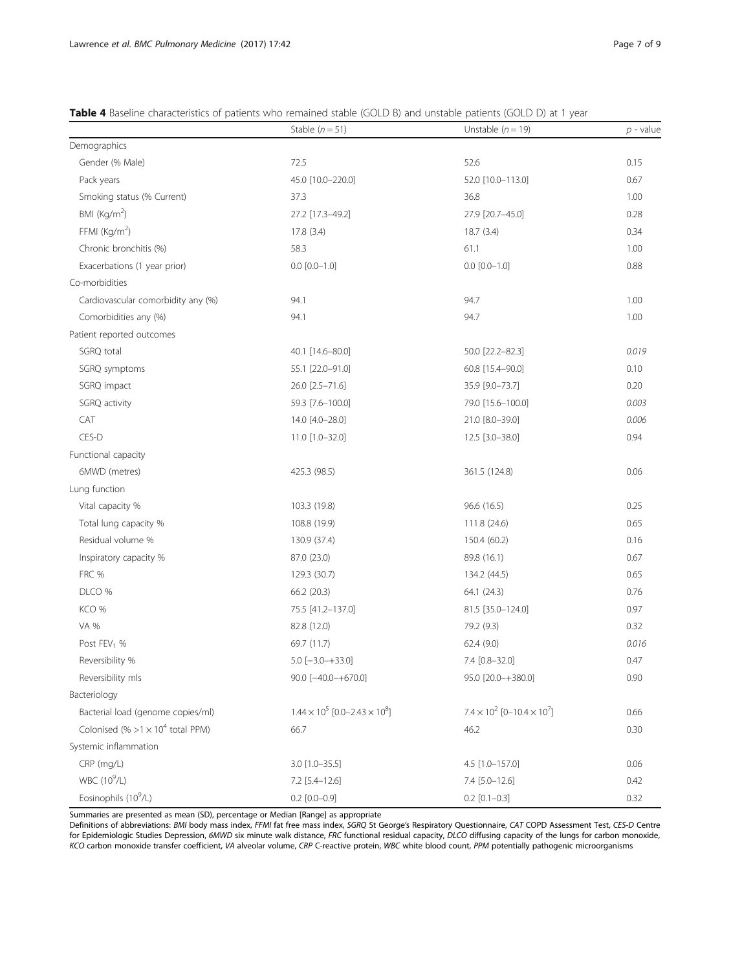<span id="page-6-0"></span>

|                                          | Stable $(n = 51)$                            | Unstable $(n = 19)$                       | $p$ - value |
|------------------------------------------|----------------------------------------------|-------------------------------------------|-------------|
| Demographics                             |                                              |                                           |             |
| Gender (% Male)                          | 72.5                                         | 52.6                                      | 0.15        |
| Pack years                               | 45.0 [10.0-220.0]                            | 52.0 [10.0-113.0]                         | 0.67        |
| Smoking status (% Current)               | 37.3                                         | 36.8                                      | 1.00        |
| BMI (Kg/m <sup>2</sup> )                 | 27.2 [17.3-49.2]                             | 27.9 [20.7-45.0]                          | 0.28        |
| FFMI (Kg/m <sup>2</sup> )                | 17.8(3.4)                                    | 18.7(3.4)                                 | 0.34        |
| Chronic bronchitis (%)                   | 58.3                                         | 61.1                                      | 1.00        |
| Exacerbations (1 year prior)             | $0.0$ $[0.0-1.0]$                            | $0.0$ $[0.0-1.0]$                         | 0.88        |
| Co-morbidities                           |                                              |                                           |             |
| Cardiovascular comorbidity any (%)       | 94.1                                         | 94.7                                      | 1.00        |
| Comorbidities any (%)                    | 94.1                                         | 94.7                                      | 1.00        |
| Patient reported outcomes                |                                              |                                           |             |
| SGRQ total                               | 40.1 [14.6-80.0]                             | 50.0 [22.2-82.3]                          | 0.019       |
| SGRQ symptoms                            | 55.1 [22.0-91.0]                             | 60.8 [15.4-90.0]                          | 0.10        |
| SGRQ impact                              | 26.0 [2.5-71.6]                              | 35.9 [9.0-73.7]                           | 0.20        |
| SGRQ activity                            | 59.3 [7.6-100.0]                             | 79.0 [15.6-100.0]                         | 0.003       |
| CAT                                      | 14.0 [4.0-28.0]                              | 21.0 [8.0-39.0]                           | 0.006       |
| CES-D                                    | 11.0 [1.0-32.0]                              | 12.5 [3.0-38.0]                           | 0.94        |
| Functional capacity                      |                                              |                                           |             |
| 6MWD (metres)                            | 425.3 (98.5)                                 | 361.5 (124.8)                             | 0.06        |
| Lung function                            |                                              |                                           |             |
| Vital capacity %                         | 103.3 (19.8)                                 | 96.6 (16.5)                               | 0.25        |
| Total lung capacity %                    | 108.8 (19.9)                                 | 111.8 (24.6)                              | 0.65        |
| Residual volume %                        | 130.9 (37.4)                                 | 150.4 (60.2)                              | 0.16        |
| Inspiratory capacity %                   | 87.0 (23.0)                                  | 89.8 (16.1)                               | 0.67        |
| FRC %                                    | 129.3 (30.7)                                 | 134.2 (44.5)                              | 0.65        |
| DLCO %                                   | 66.2 (20.3)                                  | 64.1 (24.3)                               | 0.76        |
| KCO %                                    | 75.5 [41.2-137.0]                            | 81.5 [35.0-124.0]                         | 0.97        |
| <b>VA %</b>                              | 82.8 (12.0)                                  | 79.2 (9.3)                                | 0.32        |
| Post FEV <sub>1</sub> %                  | 69.7 (11.7)                                  | 62.4 (9.0)                                | 0.016       |
| Reversibility %                          | $5.0[-3.0 - +33.0]$                          | 7.4 [0.8-32.0]                            | 0.47        |
| Reversibility mls                        | $90.0$ $[-40.0 - +670.0]$                    | 95.0 [20.0-+380.0]                        | 0.90        |
| Bacteriology                             |                                              |                                           |             |
| Bacterial load (genome copies/ml)        | $1.44 \times 10^5$ [0.0-2.43 $\times 10^8$ ] | $7.4 \times 10^2$ [0-10.4 $\times 10^7$ ] | 0.66        |
| Colonised (% $>1 \times 10^4$ total PPM) | 66.7                                         | 46.2                                      | 0.30        |
| Systemic inflammation                    |                                              |                                           |             |
| CRP (mg/L)                               | 3.0 [1.0-35.5]                               | 4.5 [1.0-157.0]                           | 0.06        |
| WBC (10 <sup>9</sup> /L)                 | 7.2 [5.4-12.6]                               | 7.4 [5.0-12.6]                            | 0.42        |
| Eosinophils (10 <sup>9</sup> /L)         | $0.2$ [0.0-0.9]                              | $0.2$ [0.1-0.3]                           | 0.32        |

Summaries are presented as mean (SD), percentage or Median [Range] as appropriate

Definitions of abbreviations: BMI body mass index, FFMI fat free mass index, SGRQ St George's Respiratory Questionnaire, CAT COPD Assessment Test, CES-D Centre for Epidemiologic Studies Depression, 6MWD six minute walk distance, FRC functional residual capacity, DLCO diffusing capacity of the lungs for carbon monoxide, KCO carbon monoxide transfer coefficient, VA alveolar volume, CRP C-reactive protein, WBC white blood count, PPM potentially pathogenic microorganisms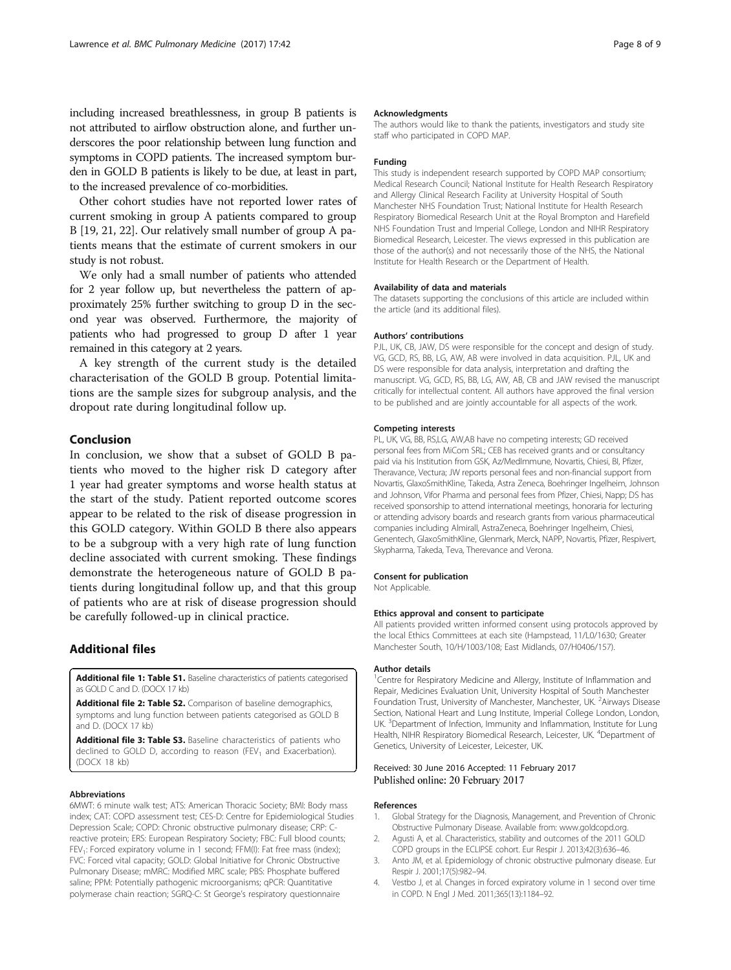<span id="page-7-0"></span>including increased breathlessness, in group B patients is not attributed to airflow obstruction alone, and further underscores the poor relationship between lung function and symptoms in COPD patients. The increased symptom burden in GOLD B patients is likely to be due, at least in part, to the increased prevalence of co-morbidities.

Other cohort studies have not reported lower rates of current smoking in group A patients compared to group B [\[19, 21](#page-8-0), [22\]](#page-8-0). Our relatively small number of group A patients means that the estimate of current smokers in our study is not robust.

We only had a small number of patients who attended for 2 year follow up, but nevertheless the pattern of approximately 25% further switching to group D in the second year was observed. Furthermore, the majority of patients who had progressed to group D after 1 year remained in this category at 2 years.

A key strength of the current study is the detailed characterisation of the GOLD B group. Potential limitations are the sample sizes for subgroup analysis, and the dropout rate during longitudinal follow up.

## Conclusion

In conclusion, we show that a subset of GOLD B patients who moved to the higher risk D category after 1 year had greater symptoms and worse health status at the start of the study. Patient reported outcome scores appear to be related to the risk of disease progression in this GOLD category. Within GOLD B there also appears to be a subgroup with a very high rate of lung function decline associated with current smoking. These findings demonstrate the heterogeneous nature of GOLD B patients during longitudinal follow up, and that this group of patients who are at risk of disease progression should be carefully followed-up in clinical practice.

## Additional files

[Additional file 1: Table S1.](dx.doi.org/10.1186/s12890-017-0384-8) Baseline characteristics of patients categorised as GOLD C and D. (DOCX 17 kb)

[Additional file 2: Table S2.](dx.doi.org/10.1186/s12890-017-0384-8) Comparison of baseline demographics, symptoms and lung function between patients categorised as GOLD B and D. (DOCX 17 kb)

[Additional file 3: Table S3.](dx.doi.org/10.1186/s12890-017-0384-8) Baseline characteristics of patients who declined to GOLD D, according to reason (FEV<sub>1</sub> and Exacerbation). (DOCX 18 kb)

#### Abbreviations

6MWT: 6 minute walk test; ATS: American Thoracic Society; BMI: Body mass index; CAT: COPD assessment test; CES-D: Centre for Epidemiological Studies Depression Scale; COPD: Chronic obstructive pulmonary disease; CRP: Creactive protein; ERS: European Respiratory Society; FBC: Full blood counts; FEV<sub>1</sub>: Forced expiratory volume in 1 second; FFM(I): Fat free mass (index); FVC: Forced vital capacity; GOLD: Global Initiative for Chronic Obstructive Pulmonary Disease; mMRC: Modified MRC scale; PBS: Phosphate buffered saline; PPM: Potentially pathogenic microorganisms; qPCR: Quantitative polymerase chain reaction; SGRQ-C: St George's respiratory questionnaire

#### Acknowledgments

The authors would like to thank the patients, investigators and study site staff who participated in COPD MAP.

#### Funding

This study is independent research supported by COPD MAP consortium; Medical Research Council; National Institute for Health Research Respiratory and Allergy Clinical Research Facility at University Hospital of South Manchester NHS Foundation Trust; National Institute for Health Research Respiratory Biomedical Research Unit at the Royal Brompton and Harefield NHS Foundation Trust and Imperial College, London and NIHR Respiratory Biomedical Research, Leicester. The views expressed in this publication are those of the author(s) and not necessarily those of the NHS, the National Institute for Health Research or the Department of Health.

#### Availability of data and materials

The datasets supporting the conclusions of this article are included within the article (and its additional files).

#### Authors' contributions

PJL, UK, CB, JAW, DS were responsible for the concept and design of study. VG, GCD, RS, BB, LG, AW, AB were involved in data acquisition. PJL, UK and DS were responsible for data analysis, interpretation and drafting the manuscript. VG, GCD, RS, BB, LG, AW, AB, CB and JAW revised the manuscript critically for intellectual content. All authors have approved the final version to be published and are jointly accountable for all aspects of the work.

#### Competing interests

PL, UK, VG, BB, RS,LG, AW,AB have no competing interests; GD received personal fees from MiCom SRL; CEB has received grants and or consultancy paid via his Institution from GSK, Az/MedImmune, Novartis, Chiesi, BI, Pfizer, Theravance, Vectura; JW reports personal fees and non-financial support from Novartis, GlaxoSmithKline, Takeda, Astra Zeneca, Boehringer Ingelheim, Johnson and Johnson, Vifor Pharma and personal fees from Pfizer, Chiesi, Napp; DS has received sponsorship to attend international meetings, honoraria for lecturing or attending advisory boards and research grants from various pharmaceutical companies including Almirall, AstraZeneca, Boehringer Ingelheim, Chiesi, Genentech, GlaxoSmithKline, Glenmark, Merck, NAPP, Novartis, Pfizer, Respivert, Skypharma, Takeda, Teva, Therevance and Verona.

#### Consent for publication

Not Applicable.

#### Ethics approval and consent to participate

All patients provided written informed consent using protocols approved by the local Ethics Committees at each site (Hampstead, 11/L0/1630; Greater Manchester South, 10/H/1003/108; East Midlands, 07/H0406/157).

#### Author details

<sup>1</sup> Centre for Respiratory Medicine and Allergy, Institute of Inflammation and Repair, Medicines Evaluation Unit, University Hospital of South Manchester Foundation Trust, University of Manchester, Manchester, UK. <sup>2</sup> Airways Disease Section, National Heart and Lung Institute, Imperial College London, London, UK.<sup>3</sup> Department of Infection, Immunity and Inflammation, Institute for Lung Health, NIHR Respiratory Biomedical Research, Leicester, UK. <sup>4</sup>Department of Genetics, University of Leicester, Leicester, UK.

#### Received: 30 June 2016 Accepted: 11 February 2017 Published online: 20 February 2017

#### References

- Global Strategy for the Diagnosis, Management, and Prevention of Chronic Obstructive Pulmonary Disease. Available from: [www.goldcopd.org](http://www.goldcopd.org/).
- 2. Agusti A, et al. Characteristics, stability and outcomes of the 2011 GOLD COPD groups in the ECLIPSE cohort. Eur Respir J. 2013;42(3):636–46.
- 3. Anto JM, et al. Epidemiology of chronic obstructive pulmonary disease. Eur Respir J. 2001;17(5):982–94.
- 4. Vestbo J, et al. Changes in forced expiratory volume in 1 second over time in COPD. N Engl J Med. 2011;365(13):1184–92.